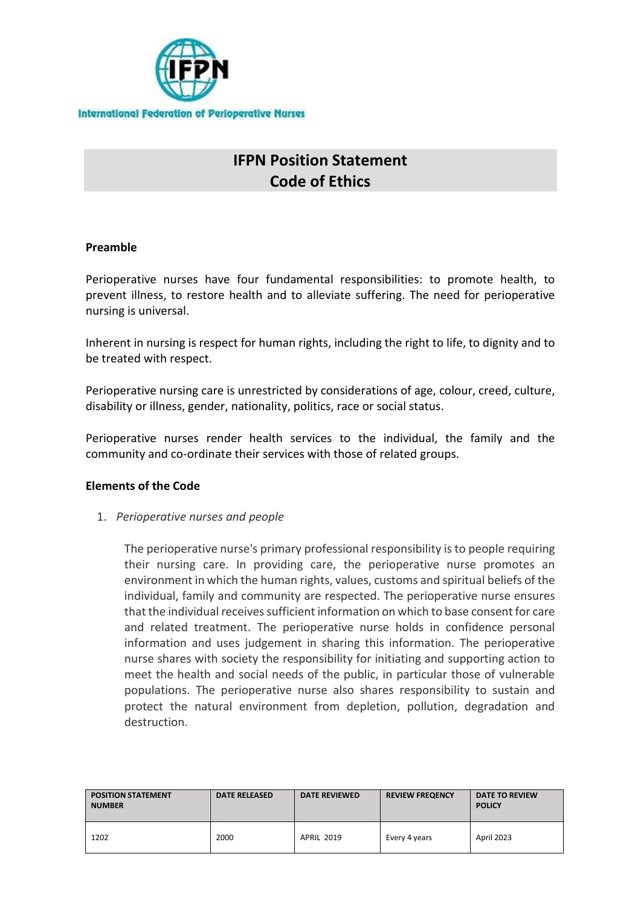

# **IFPN Position Statement Code of Ethics**

#### **Preamble**

Perioperative nurses have four fundamental responsibilities: to promote health, to prevent illness, to restore health and to alleviate suffering. The need for perioperative nursing is universal.

Inherent in nursing is respect for human rights, including the right to life, to dignity and to be treated with respect.

Perioperative nursing care is unrestricted by considerations of age, colour, creed, culture, disability or illness, gender, nationality, politics, race or social status.

Perioperative nurses render health services to the individual, the family and the community and co-ordinate their services with those of related groups.

### **Elements of the Code**

1. *Perioperative nurses and people*

The perioperative nurse's primary professional responsibility is to people requiring their nursing care. In providing care, the perioperative nurse promotes an environment in which the human rights, values, customs and spiritual beliefs of the individual, family and community are respected. The perioperative nurse ensures that the individual receives sufficient information on which to base consent for care and related treatment. The perioperative nurse holds in confidence personal information and uses judgement in sharing this information. The perioperative nurse shares with society the responsibility for initiating and supporting action to meet the health and social needs of the public, in particular those of vulnerable populations. The perioperative nurse also shares responsibility to sustain and protect the natural environment from depletion, pollution, degradation and destruction.

| <b>POSITION STATEMENT</b><br><b>NUMBER</b> | <b>DATE RELEASED</b> | <b>DATE REVIEWED</b> | <b>REVIEW FREQENCY</b> | DATE TO REVIEW<br><b>POLICY</b> |
|--------------------------------------------|----------------------|----------------------|------------------------|---------------------------------|
| 1202                                       | 2000                 | <b>APRIL 2019</b>    | Every 4 years          | April 2023                      |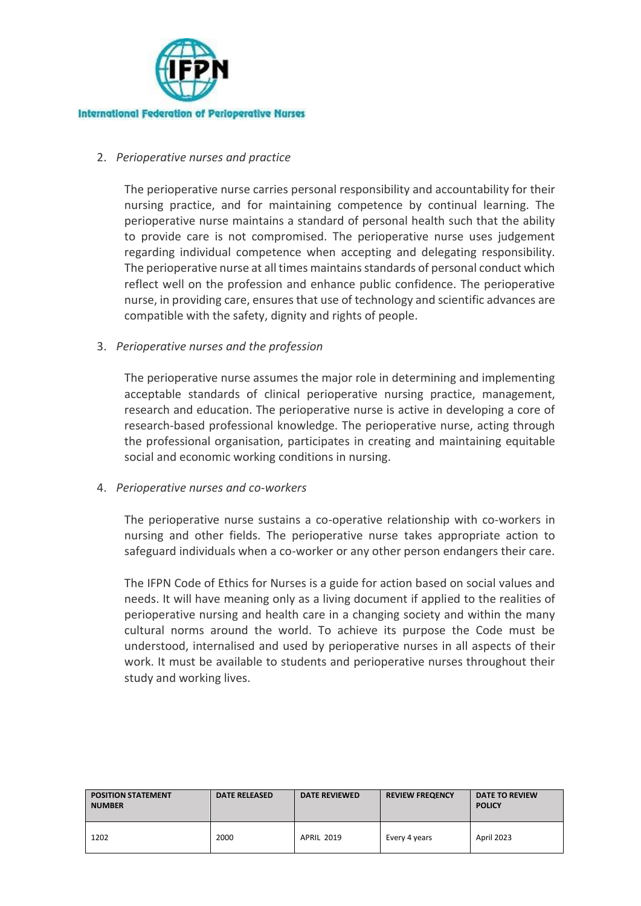

### 2. *Perioperative nurses and practice*

The perioperative nurse carries personal responsibility and accountability for their nursing practice, and for maintaining competence by continual learning. The perioperative nurse maintains a standard of personal health such that the ability to provide care is not compromised. The perioperative nurse uses judgement regarding individual competence when accepting and delegating responsibility. The perioperative nurse at all times maintains standards of personal conduct which reflect well on the profession and enhance public confidence. The perioperative nurse, in providing care, ensures that use of technology and scientific advances are compatible with the safety, dignity and rights of people.

#### 3. *Perioperative nurses and the profession*

The perioperative nurse assumes the major role in determining and implementing acceptable standards of clinical perioperative nursing practice, management, research and education. The perioperative nurse is active in developing a core of research-based professional knowledge. The perioperative nurse, acting through the professional organisation, participates in creating and maintaining equitable social and economic working conditions in nursing.

#### 4. *Perioperative nurses and co-workers*

The perioperative nurse sustains a co-operative relationship with co-workers in nursing and other fields. The perioperative nurse takes appropriate action to safeguard individuals when a co-worker or any other person endangers their care.

The IFPN Code of Ethics for Nurses is a guide for action based on social values and needs. It will have meaning only as a living document if applied to the realities of perioperative nursing and health care in a changing society and within the many cultural norms around the world. To achieve its purpose the Code must be understood, internalised and used by perioperative nurses in all aspects of their work. It must be available to students and perioperative nurses throughout their study and working lives.

| <b>POSITION STATEMENT</b><br><b>NUMBER</b> | <b>DATE RELEASED</b> | <b>DATE REVIEWED</b> | <b>REVIEW FREQENCY</b> | <b>DATE TO REVIEW</b><br><b>POLICY</b> |
|--------------------------------------------|----------------------|----------------------|------------------------|----------------------------------------|
| 1202                                       | 2000                 | <b>APRIL 2019</b>    | Every 4 years          | April 2023                             |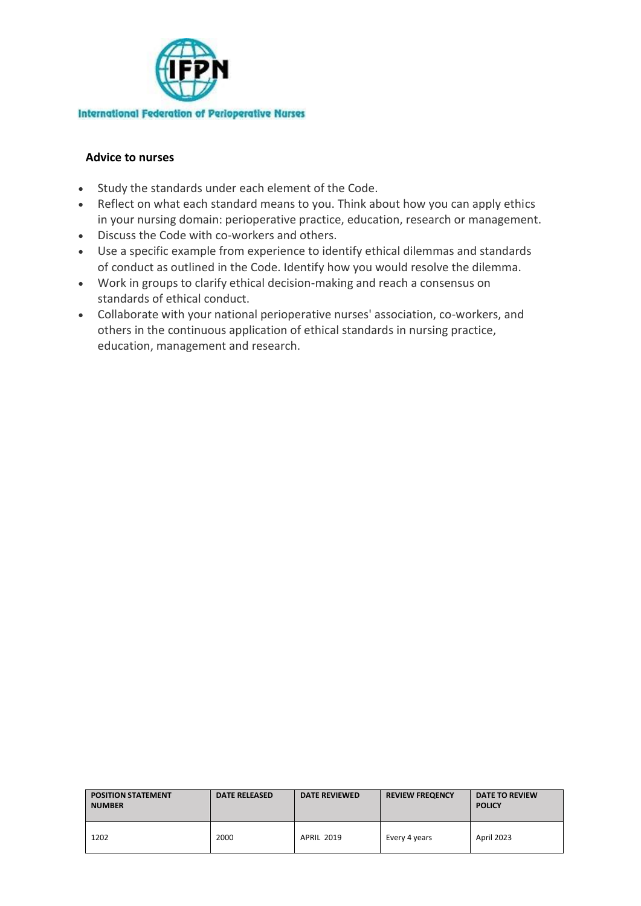

### **Advice to nurses**

- Study the standards under each element of the Code.
- Reflect on what each standard means to you. Think about how you can apply ethics in your nursing domain: perioperative practice, education, research or management.
- Discuss the Code with co-workers and others.
- Use a specific example from experience to identify ethical dilemmas and standards of conduct as outlined in the Code. Identify how you would resolve the dilemma.
- Work in groups to clarify ethical decision-making and reach a consensus on standards of ethical conduct.
- Collaborate with your national perioperative nurses' association, co-workers, and others in the continuous application of ethical standards in nursing practice, education, management and research.

| <b>POSITION STATEMENT</b><br><b>NUMBER</b> | <b>DATE RELEASED</b> | <b>DATE REVIEWED</b> | <b>REVIEW FREQENCY</b> | <b>DATE TO REVIEW</b><br><b>POLICY</b> |
|--------------------------------------------|----------------------|----------------------|------------------------|----------------------------------------|
| 1202                                       | 2000                 | <b>APRIL 2019</b>    | Every 4 years          | April 2023                             |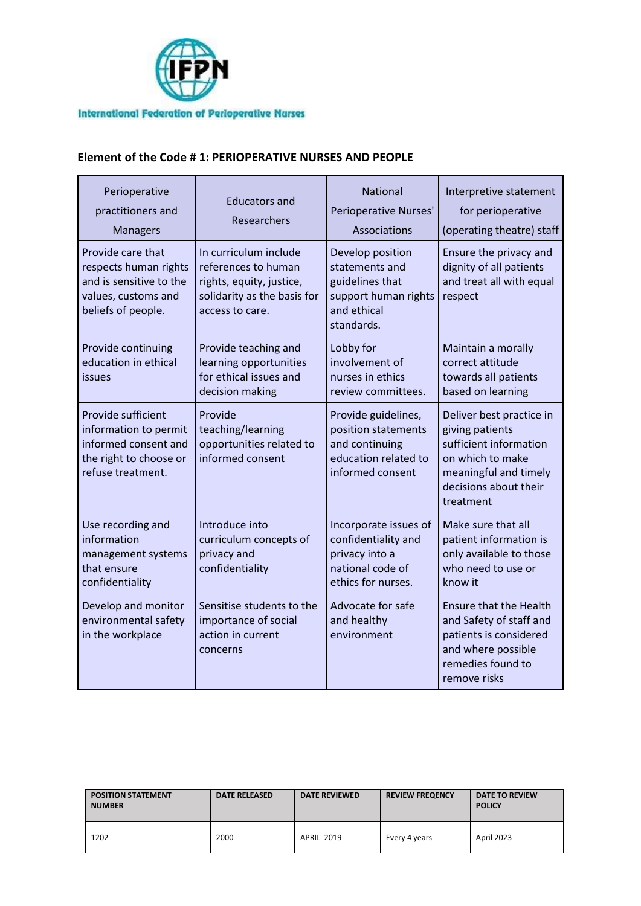

### **Element of the Code # 1: PERIOPERATIVE NURSES AND PEOPLE**

| Perioperative<br>practitioners and<br><b>Managers</b>                                                              | <b>Educators and</b><br>Researchers                                                                                        | <b>National</b><br><b>Perioperative Nurses'</b><br>Associations                                            | Interpretive statement<br>for perioperative<br>(operating theatre) staff                                                                                 |
|--------------------------------------------------------------------------------------------------------------------|----------------------------------------------------------------------------------------------------------------------------|------------------------------------------------------------------------------------------------------------|----------------------------------------------------------------------------------------------------------------------------------------------------------|
| Provide care that<br>respects human rights<br>and is sensitive to the<br>values, customs and<br>beliefs of people. | In curriculum include<br>references to human<br>rights, equity, justice,<br>solidarity as the basis for<br>access to care. | Develop position<br>statements and<br>guidelines that<br>support human rights<br>and ethical<br>standards. | Ensure the privacy and<br>dignity of all patients<br>and treat all with equal<br>respect                                                                 |
| Provide continuing<br>education in ethical<br>issues                                                               | Provide teaching and<br>learning opportunities<br>for ethical issues and<br>decision making                                | Lobby for<br>involvement of<br>nurses in ethics<br>review committees.                                      | Maintain a morally<br>correct attitude<br>towards all patients<br>based on learning                                                                      |
| Provide sufficient<br>information to permit<br>informed consent and<br>the right to choose or<br>refuse treatment. | Provide<br>teaching/learning<br>opportunities related to<br>informed consent                                               | Provide guidelines,<br>position statements<br>and continuing<br>education related to<br>informed consent   | Deliver best practice in<br>giving patients<br>sufficient information<br>on which to make<br>meaningful and timely<br>decisions about their<br>treatment |
| Use recording and<br>information<br>management systems<br>that ensure<br>confidentiality                           | Introduce into<br>curriculum concepts of<br>privacy and<br>confidentiality                                                 | Incorporate issues of<br>confidentiality and<br>privacy into a<br>national code of<br>ethics for nurses.   | Make sure that all<br>patient information is<br>only available to those<br>who need to use or<br>know it                                                 |
| Develop and monitor<br>environmental safety<br>in the workplace                                                    | Sensitise students to the<br>importance of social<br>action in current<br>concerns                                         | Advocate for safe<br>and healthy<br>environment                                                            | <b>Ensure that the Health</b><br>and Safety of staff and<br>patients is considered<br>and where possible<br>remedies found to<br>remove risks            |

| <b>POSITION STATEMENT</b><br><b>NUMBER</b> | <b>DATE RELEASED</b> | <b>DATE REVIEWED</b> | <b>REVIEW FREQENCY</b> | <b>DATE TO REVIEW</b><br><b>POLICY</b> |
|--------------------------------------------|----------------------|----------------------|------------------------|----------------------------------------|
| 1202                                       | 2000                 | <b>APRIL 2019</b>    | Every 4 years          | April 2023                             |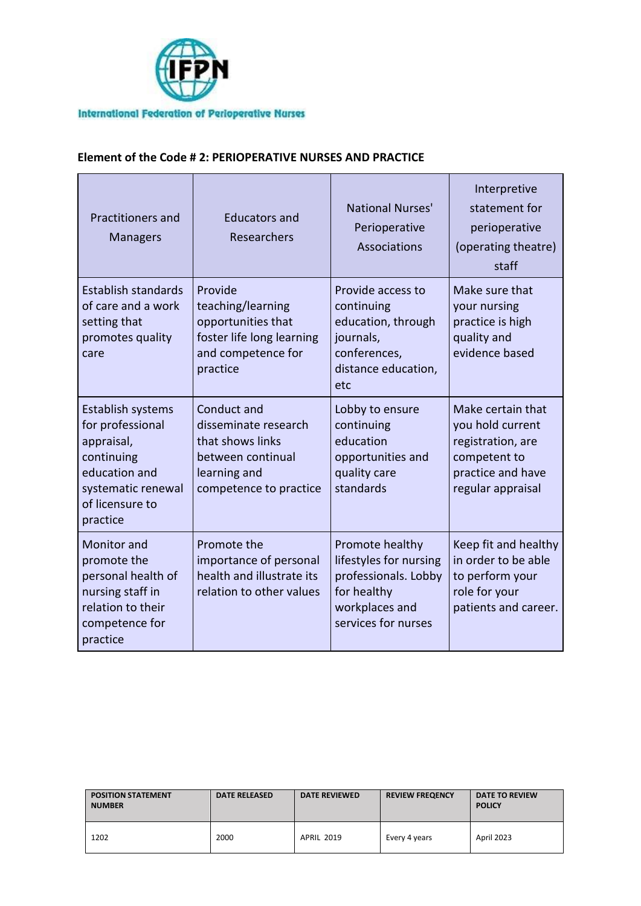

## **Element of the Code # 2: PERIOPERATIVE NURSES AND PRACTICE**

| <b>Practitioners and</b><br><b>Managers</b>                                                                                             | Educators and<br>Researchers                                                                                           | National Nurses'<br>Perioperative<br>Associations                                                                         | Interpretive<br>statement for<br>perioperative<br>(operating theatre)<br>staff                                       |
|-----------------------------------------------------------------------------------------------------------------------------------------|------------------------------------------------------------------------------------------------------------------------|---------------------------------------------------------------------------------------------------------------------------|----------------------------------------------------------------------------------------------------------------------|
| <b>Establish standards</b><br>of care and a work<br>setting that<br>promotes quality<br>care                                            | Provide<br>teaching/learning<br>opportunities that<br>foster life long learning<br>and competence for<br>practice      | Provide access to<br>continuing<br>education, through<br>journals,<br>conferences,<br>distance education,<br>etc          | Make sure that<br>your nursing<br>practice is high<br>quality and<br>evidence based                                  |
| Establish systems<br>for professional<br>appraisal,<br>continuing<br>education and<br>systematic renewal<br>of licensure to<br>practice | Conduct and<br>disseminate research<br>that shows links<br>between continual<br>learning and<br>competence to practice | Lobby to ensure<br>continuing<br>education<br>opportunities and<br>quality care<br>standards                              | Make certain that<br>you hold current<br>registration, are<br>competent to<br>practice and have<br>regular appraisal |
| <b>Monitor</b> and<br>promote the<br>personal health of<br>nursing staff in<br>relation to their<br>competence for<br>practice          | Promote the<br>importance of personal<br>health and illustrate its<br>relation to other values                         | Promote healthy<br>lifestyles for nursing<br>professionals. Lobby<br>for healthy<br>workplaces and<br>services for nurses | Keep fit and healthy<br>in order to be able<br>to perform your<br>role for your<br>patients and career.              |

| <b>POSITION STATEMENT</b><br><b>NUMBER</b> | <b>DATE RELEASED</b> | <b>DATE REVIEWED</b> | <b>REVIEW FREQENCY</b> | <b>DATE TO REVIEW</b><br><b>POLICY</b> |
|--------------------------------------------|----------------------|----------------------|------------------------|----------------------------------------|
| 1202                                       | 2000                 | <b>APRIL 2019</b>    | Every 4 years          | April 2023                             |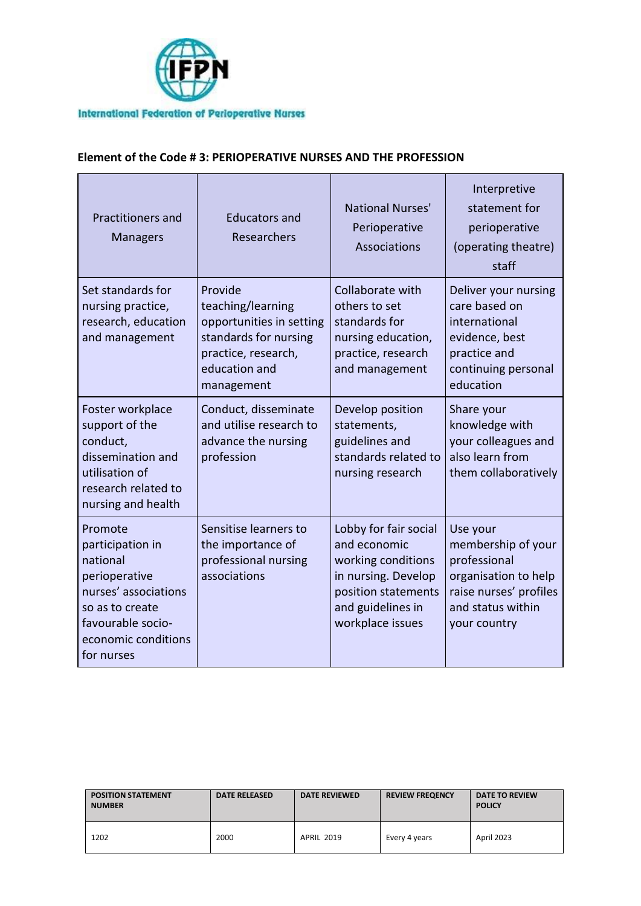

## **Element of the Code # 3: PERIOPERATIVE NURSES AND THE PROFESSION**

| <b>Practitioners and</b><br><b>Managers</b>                                                                                                                   | <b>Educators and</b><br>Researchers                                                                                                     | National Nurses'<br>Perioperative<br>Associations                                                                                                  | Interpretive<br>statement for<br>perioperative<br>(operating theatre)<br>staff                                                        |
|---------------------------------------------------------------------------------------------------------------------------------------------------------------|-----------------------------------------------------------------------------------------------------------------------------------------|----------------------------------------------------------------------------------------------------------------------------------------------------|---------------------------------------------------------------------------------------------------------------------------------------|
| Set standards for<br>nursing practice,<br>research, education<br>and management                                                                               | Provide<br>teaching/learning<br>opportunities in setting<br>standards for nursing<br>practice, research,<br>education and<br>management | Collaborate with<br>others to set<br>standards for<br>nursing education,<br>practice, research<br>and management                                   | Deliver your nursing<br>care based on<br>international<br>evidence, best<br>practice and<br>continuing personal<br>education          |
| Foster workplace<br>support of the<br>conduct,<br>dissemination and<br>utilisation of<br>research related to<br>nursing and health                            | Conduct, disseminate<br>and utilise research to<br>advance the nursing<br>profession                                                    | Develop position<br>statements,<br>guidelines and<br>standards related to<br>nursing research                                                      | Share your<br>knowledge with<br>your colleagues and<br>also learn from<br>them collaboratively                                        |
| Promote<br>participation in<br>national<br>perioperative<br>nurses' associations<br>so as to create<br>favourable socio-<br>economic conditions<br>for nurses | Sensitise learners to<br>the importance of<br>professional nursing<br>associations                                                      | Lobby for fair social<br>and economic<br>working conditions<br>in nursing. Develop<br>position statements<br>and guidelines in<br>workplace issues | Use your<br>membership of your<br>professional<br>organisation to help<br>raise nurses' profiles<br>and status within<br>your country |

| <b>POSITION STATEMENT</b><br><b>NUMBER</b> | <b>DATE RELEASED</b> | <b>DATE REVIEWED</b> | <b>REVIEW FREQENCY</b> | <b>DATE TO REVIEW</b><br><b>POLICY</b> |
|--------------------------------------------|----------------------|----------------------|------------------------|----------------------------------------|
| 1202                                       | 2000                 | <b>APRIL 2019</b>    | Every 4 years          | April 2023                             |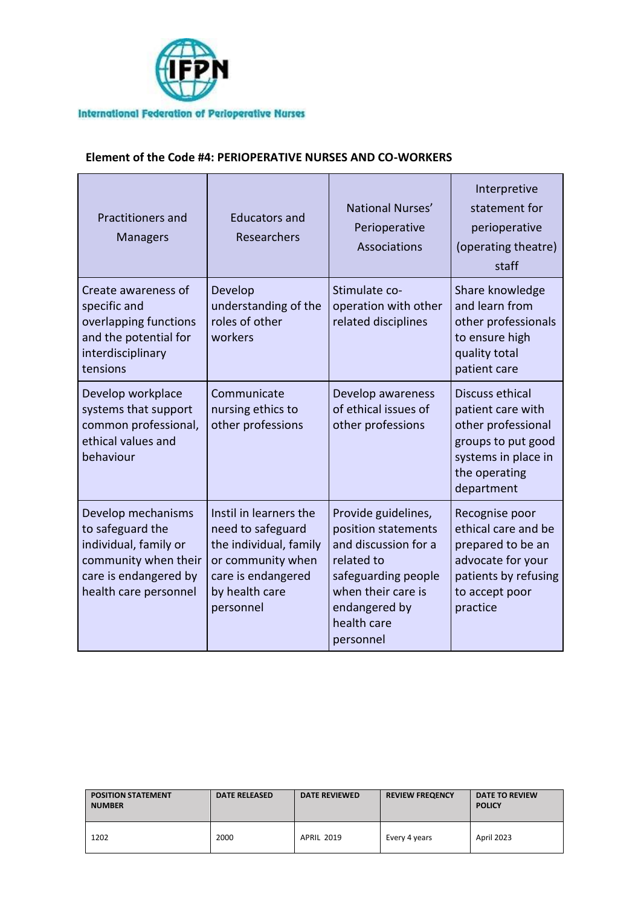

### **Element of the Code #4: PERIOPERATIVE NURSES AND CO-WORKERS**

| <b>Practitioners and</b><br><b>Managers</b>                                                                                               | <b>Educators and</b><br>Researchers                                                                                                             | National Nurses'<br>Perioperative<br>Associations                                                                                                                          | Interpretive<br>statement for<br>perioperative<br>(operating theatre)<br>staff                                                         |
|-------------------------------------------------------------------------------------------------------------------------------------------|-------------------------------------------------------------------------------------------------------------------------------------------------|----------------------------------------------------------------------------------------------------------------------------------------------------------------------------|----------------------------------------------------------------------------------------------------------------------------------------|
| Create awareness of<br>specific and<br>overlapping functions<br>and the potential for<br>interdisciplinary<br>tensions                    | Develop<br>understanding of the<br>roles of other<br>workers                                                                                    | Stimulate co-<br>operation with other<br>related disciplines                                                                                                               | Share knowledge<br>and learn from<br>other professionals<br>to ensure high<br>quality total<br>patient care                            |
| Develop workplace<br>systems that support<br>common professional,<br>ethical values and<br>behaviour                                      | Communicate<br>nursing ethics to<br>other professions                                                                                           | Develop awareness<br>of ethical issues of<br>other professions                                                                                                             | Discuss ethical<br>patient care with<br>other professional<br>groups to put good<br>systems in place in<br>the operating<br>department |
| Develop mechanisms<br>to safeguard the<br>individual, family or<br>community when their<br>care is endangered by<br>health care personnel | Instil in learners the<br>need to safeguard<br>the individual, family<br>or community when<br>care is endangered<br>by health care<br>personnel | Provide guidelines,<br>position statements<br>and discussion for a<br>related to<br>safeguarding people<br>when their care is<br>endangered by<br>health care<br>personnel | Recognise poor<br>ethical care and be<br>prepared to be an<br>advocate for your<br>patients by refusing<br>to accept poor<br>practice  |

| <b>POSITION STATEMENT</b><br><b>NUMBER</b> | <b>DATE RELEASED</b> | <b>DATE REVIEWED</b> | <b>REVIEW FREQENCY</b> | <b>DATE TO REVIEW</b><br><b>POLICY</b> |
|--------------------------------------------|----------------------|----------------------|------------------------|----------------------------------------|
| 1202                                       | 2000                 | <b>APRIL 2019</b>    | Every 4 years          | April 2023                             |